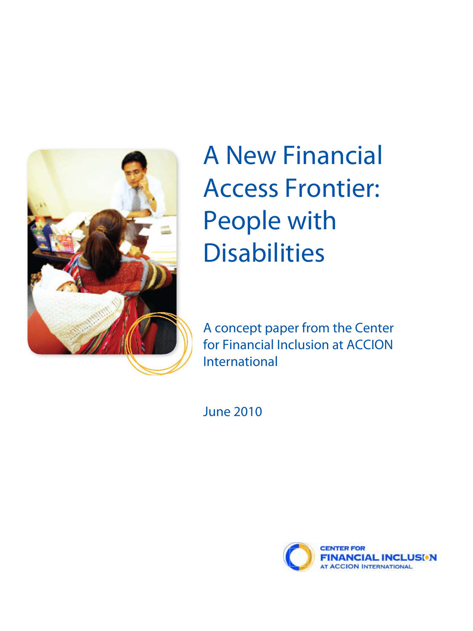

# A New Financial Access Frontier: People with **Disabilities**

A concept paper from the Center for Financial Inclusion at ACCION International

June 2010

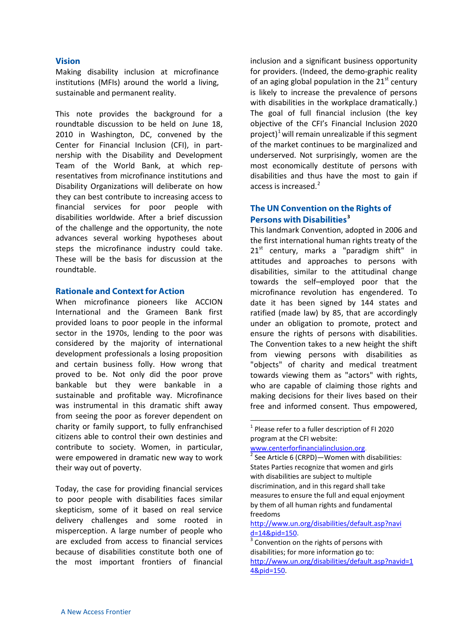#### **Vision**

Making disability inclusion at microfinance institutions (MFIs) around the world a living, sustainable and permanent reality.

This note provides the background for a roundtable discussion to be held on June 18, 2010 in Washington, DC, convened by the Center for Financial Inclusion (CFI), in partnership with the Disability and Development Team of the World Bank, at which representatives from microfinance institutions and Disability Organizations will deliberate on how they can best contribute to increasing access to financial services for poor people with disabilities worldwide. After a brief discussion of the challenge and the opportunity, the note advances several working hypotheses about steps the microfinance industry could take. These will be the basis for discussion at the roundtable.

#### **Rationale and Context for Action**

When microfinance pioneers like ACCION International and the Grameen Bank first provided loans to poor people in the informal sector in the 1970s, lending to the poor was considered by the majority of international development professionals a losing proposition and certain business folly. How wrong that proved to be. Not only did the poor prove bankable but they were bankable in a sustainable and profitable way. Microfinance was instrumental in this dramatic shift away from seeing the poor as forever dependent on charity or family support, to fully enfranchised citizens able to control their own destinies and contribute to society. Women, in particular, were empowered in dramatic new way to work their way out of poverty.

<span id="page-1-2"></span><span id="page-1-1"></span><span id="page-1-0"></span>Today, the case for providing financial services to poor people with disabilities faces similar skepticism, some of it based on real service delivery challenges and some rooted in misperception. A large number of people who are excluded from access to financial services because of disabilities constitute both one of the most important frontiers of financial

inclusion and a significant business opportunity for providers. (Indeed, the demo-graphic reality of an aging global population in the  $21<sup>st</sup>$  century is likely to increase the prevalence of persons with disabilities in the workplace dramatically.) The goal of full financial inclusion (the key objective of the CFI's Financial Inclusion 2020 project)<sup>[1](#page-1-0)</sup> will remain unrealizable if this segment of the market continues to be marginalized and underserved. Not surprisingly, women are the most economically destitute of persons with disabilities and thus have the most to gain if access is increased. $<sup>2</sup>$  $<sup>2</sup>$  $<sup>2</sup>$ </sup>

### **The UN Convention on the Rights of Persons with Disabilities[3](#page-1-2)**

This landmark Convention, adopted in 2006 and the first international human rights treaty of the  $21<sup>st</sup>$  century, marks a "paradigm shift" in attitudes and approaches to persons with disabilities, similar to the attitudinal change towards the self–employed poor that the microfinance revolution has engendered. To date it has been signed by 144 states and ratified (made law) by 85, that are accordingly under an obligation to promote, protect and ensure the rights of persons with disabilities. The Convention takes to a new height the shift from viewing persons with disabilities as "objects" of charity and medical treatment towards viewing them as "actors" with rights, who are capable of claiming those rights and making decisions for their lives based on their free and informed consent. Thus empowered,

 $1$  Please refer to a fuller description of FI 2020 program at the CFI website:

www.centerforfinancialinclusion.org.

See Article 6 (CRPD)-Women with disabilities: States Parties recognize that women and girls with disabilities are subject to multiple discrimination, and in this regard shall take measures to ensure the full and equal enjoyment by them of all human rights and fundamental freedoms

http://www.un.org/disabilities/default.asp?navi d=14&pid=150**.**

<sup>&</sup>lt;sup>3</sup> Convention on the rights of persons with disabilities; for more information go to: http://www.un.org/disabilities/default.asp?navid=1 4&pid=150.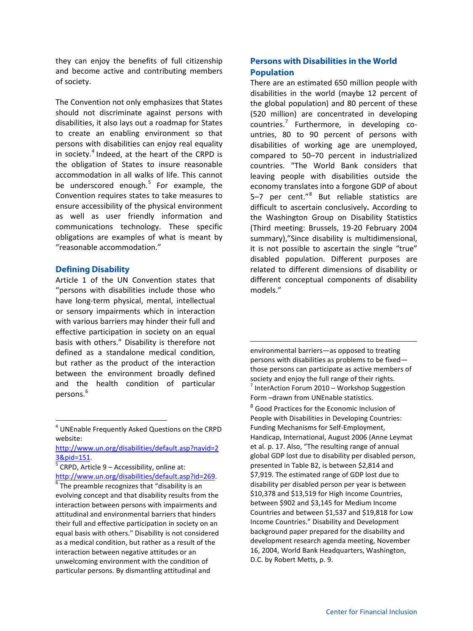they can enjoy the benefits of full citizenship and become active and contributing members of society.

The Convention not only emphasizes that States should not discriminate against persons with disabilities, it also lays out a roadmap for States to create an enabling environment so that persons with disabilities can enjoy real equality in society. $4$  Indeed, at the heart of the CRPD is the obligation of States to insure reasonable accommodation in all walks of life. This cannot be underscored enough. $5$  For example, the Convention requires states to take measures to ensure accessibility of the physical environment as well as user friendly information and communications technology. These specific obligations are examples of what is meant by "reasonable accommodation."

#### **Defining Disability**

Article 1 of the UN Convention states that "persons with disabilities include those who have long-term physical, mental, intellectual or sensory impairments which in interaction with various barriers may hinder their full and effective participation in society on an equal basis with others." Disability is therefore not defined as a standalone medical condition, but rather as the product of the interaction between the environment broadly defined and the health condition of particular persons.<sup>[6](#page-2-2)</sup>

# **Persons with Disabilities in the World Population**

There are an estimated 650 million people with disabilities in the world (maybe 12 percent of the global population) and 80 percent of these (520 million) are concentrated in developing countries.<sup>[7](#page-2-3)</sup> Furthermore, in developing countries, 80 to 90 percent of persons with disabilities of working age are unemployed, compared to 50–70 percent in industrialized countries. "The World Bank considers that leaving people with disabilities outside the economy translates into a forgone GDP of about 5-7 per cent."<sup>[8](#page-2-4)</sup> But reliable statistics are difficult to ascertain conclusively**.** According to the Washington Group on Disability Statistics (Third meeting: Brussels, 19-20 February 2004 summary),"Since disability is multidimensional, it is not possible to ascertain the single "true" disabled population. Different purposes are related to different dimensions of disability or different conceptual components of disability models."

environmental barriers—as opposed to treating persons with disabilities as problems to be fixed those persons can participate as active members of society and enjoy the full range of their rights. InterAction Forum 2010 – Workshop Suggestion Form –drawn from UNEnable statistics. <sup>8</sup> Good Practices for the Economic Inclusion of People with Disabilities in Developing Countries: Funding Mechanisms for Self-Employment, Handicap, International, August 2006 (Anne Leymat et al. p. 17. Also, "The resulting range of annual global GDP lost due to disability per disabled person, presented in Table B2, is between \$2,814 and \$7,919. The estimated range of GDP lost due to disability per disabled person per year is between \$10,378 and \$13,519 for High Income Countries, between \$902 and \$3,145 for Medium Income Countries and between \$1,537 and \$19,818 for Low Income Countries." Disability and Development background paper prepared for the disability and development research agenda meeting, November 16, 2004, World Bank Headquarters, Washington, D.C. by Robert Metts, p. 9.

 $\overline{\phantom{0}}$ 

<span id="page-2-4"></span><span id="page-2-3"></span><span id="page-2-0"></span> <sup>4</sup> UNEnable Frequently Asked Questions on the CRPD website:

http://www.un.org/disabilities/default.asp?navid=2 3&pid=151.

<span id="page-2-1"></span> $\sqrt[5]{\text{CRPD}}$ , Article 9 – Accessibility, online at: http://www.un.org/disabilities/default.asp?id=269.

<span id="page-2-2"></span> $6$  The preamble recognizes that "disability is an evolving concept and that disability results from the interaction between persons with impairments and attitudinal and environmental barriers that hinders their full and effective participation in society on an equal basis with others." Disability is not considered as a medical condition, but rather as a result of the interaction between negative attitudes or an unwelcoming environment with the condition of particular persons. By dismantling attitudinal and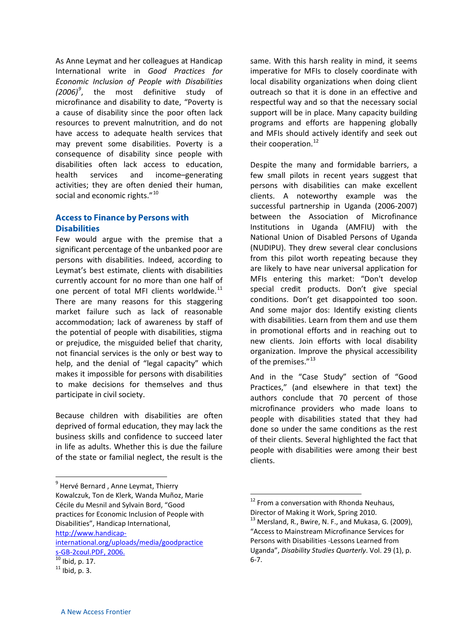As Anne Leymat and her colleagues at Handicap International write in *Good Practices for Economic Inclusion of People with Disabilities (2006)[9](#page-3-0)* , the most definitive study of microfinance and disability to date, "Poverty is a cause of disability since the poor often lack resources to prevent malnutrition, and do not have access to adequate health services that may prevent some disabilities. Poverty is a consequence of disability since people with disabilities often lack access to education, health services and income–generating activities; they are often denied their human, social and economic rights."<sup>[10](#page-3-1)</sup>

# **Access to Finance by Persons with Disabilities**

Few would argue with the premise that a significant percentage of the unbanked poor are persons with disabilities. Indeed, according to Leymat's best estimate, clients with disabilities currently account for no more than one half of one percent of total MFI clients worldwide. $^{11}$  $^{11}$  $^{11}$ There are many reasons for this staggering market failure such as lack of reasonable accommodation; lack of awareness by staff of the potential of people with disabilities, stigma or prejudice, the misguided belief that charity, not financial services is the only or best way to help, and the denial of "legal capacity" which makes it impossible for persons with disabilities to make decisions for themselves and thus participate in civil society.

Because children with disabilities are often deprived of formal education, they may lack the business skills and confidence to succeed later in life as adults. Whether this is due the failure of the state or familial neglect, the result is the

Despite the many and formidable barriers, a few small pilots in recent years suggest that persons with disabilities can make excellent clients. A noteworthy example was the successful partnership in Uganda (2006-2007) between the Association of Microfinance Institutions in Uganda (AMFIU) with the National Union of Disabled Persons of Uganda (NUDIPU). They drew several clear conclusions from this pilot worth repeating because they are likely to have near universal application for MFIs entering this market: "Don't develop special credit products. Don't give special conditions. Don't get disappointed too soon. And some major dos: Identify existing clients with disabilities. Learn from them and use them in promotional efforts and in reaching out to new clients. Join efforts with local disability organization. Improve the physical accessibility of the premises."<sup>[13](#page-3-4)</sup>

And in the "Case Study" section of "Good Practices," (and elsewhere in that text) the authors conclude that 70 percent of those microfinance providers who made loans to people with disabilities stated that they had done so under the same conditions as the rest of their clients. Several highlighted the fact that people with disabilities were among their best clients.

 $13$  Mersland, R., Bwire, N. F., and Mukasa, G. (2009), "Access to Mainstream Microfinance Services for Persons with Disabilities -Lessons Learned from Uganda", *Disability Studies Quarterly*. Vol. 29 (1), p. 6-7.

<span id="page-3-3"></span><span id="page-3-0"></span><sup>&</sup>lt;sup>9</sup> Hervé Bernard, Anne Leymat, Thierry Kowalczuk, Ton de Klerk, Wanda Muñoz, Marie Cécile du Mesnil and Sylvain Bord, "Good practices for Economic Inclusion of People with Disabilities", Handicap International,

<span id="page-3-4"></span>http://www.handicap-

international.org/uploads/media/goodpractice s-GB-2coul.PDF, 2006.

<span id="page-3-1"></span> $\frac{10}{10}$  Ibid, p. 17.

<span id="page-3-2"></span> $11$  Ibid, p. 3.

same. With this harsh reality in mind, it seems imperative for MFIs to closely coordinate with local disability organizations when doing client outreach so that it is done in an effective and respectful way and so that the necessary social support will be in place. Many capacity building programs and efforts are happening globally and MFIs should actively identify and seek out their cooperation.<sup>[12](#page-3-3)</sup>

 $12$  From a conversation with Rhonda Neuhaus, Director of Making it Work, Spring 2010.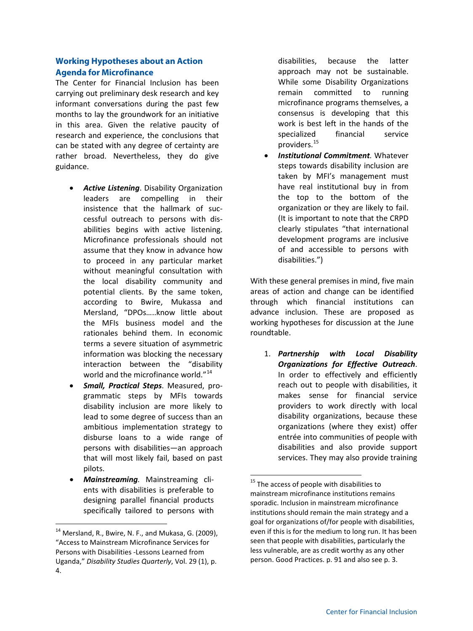## **Working Hypotheses about an Action Agenda for Microfinance**

The Center for Financial Inclusion has been carrying out preliminary desk research and key informant conversations during the past few months to lay the groundwork for an initiative in this area. Given the relative paucity of research and experience, the conclusions that can be stated with any degree of certainty are rather broad. Nevertheless, they do give guidance.

- *Active Listening*. Disability Organization leaders are compelling in their insistence that the hallmark of successful outreach to persons with disabilities begins with active listening. Microfinance professionals should not assume that they know in advance how to proceed in any particular market without meaningful consultation with the local disability community and potential clients. By the same token, according to Bwire, Mukassa and Mersland, "DPOs…..know little about the MFIs business model and the rationales behind them. In economic terms a severe situation of asymmetric information was blocking the necessary interaction between the "disability world and the microfinance world."<sup>[14](#page-4-0)</sup>
- *Small, Practical Steps*. Measured, programmatic steps by MFIs towards disability inclusion are more likely to lead to some degree of success than an ambitious implementation strategy to disburse loans to a wide range of persons with disabilities—an approach that will most likely fail, based on past pilots.
- <span id="page-4-1"></span>• *Mainstreaming.* Mainstreaming clients with disabilities is preferable to designing parallel financial products specifically tailored to persons with

disabilities, because the latter approach may not be sustainable. While some Disability Organizations remain committed to running microfinance programs themselves, a consensus is developing that this work is best left in the hands of the specialized financial service providers. [15](#page-4-1)

• *Institutional Commitment.* Whatever steps towards disability inclusion are taken by MFI's management must have real institutional buy in from the top to the bottom of the organization or they are likely to fail. (It is important to note that the CRPD clearly stipulates "that international development programs are inclusive of and accessible to persons with disabilities.")

With these general premises in mind, five main areas of action and change can be identified through which financial institutions can advance inclusion. These are proposed as working hypotheses for discussion at the June roundtable.

1. *Partnership with Local Disability Organizations for Effective Outreach*. In order to effectively and efficiently reach out to people with disabilities, it makes sense for financial service providers to work directly with local disability organizations, because these organizations (where they exist) offer entrée into communities of people with disabilities and also provide support services. They may also provide training

<span id="page-4-0"></span><sup>&</sup>lt;sup>14</sup> Mersland, R., Bwire, N. F., and Mukasa, G. (2009), "Access to Mainstream Microfinance Services for Persons with Disabilities -Lessons Learned from Uganda," *Disability Studies Quarterly*, Vol. 29 (1), p. 4.

<sup>&</sup>lt;sup>15</sup> The access of people with disabilities to mainstream microfinance institutions remains sporadic. Inclusion in mainstream microfinance institutions should remain the main strategy and a goal for organizations of/for people with disabilities, even if this is for the medium to long run. It has been seen that people with disabilities, particularly the less vulnerable, are as credit worthy as any other person. Good Practices. p. 91 and also see p. 3.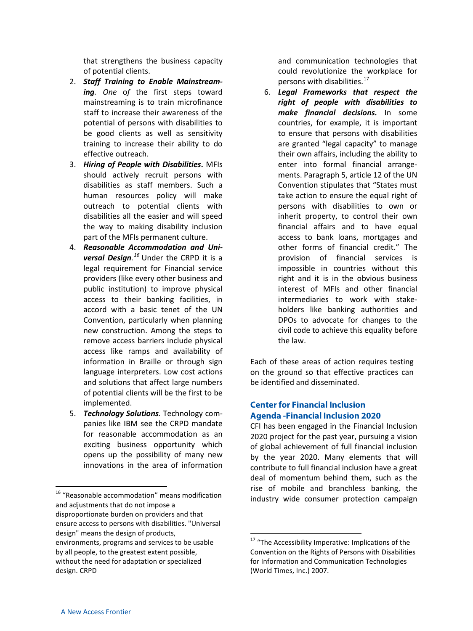that strengthens the business capacity of potential clients.

- 2. *Staff Training to Enable Mainstream*ing. One of the first steps toward mainstreaming is to train microfinance staff to increase their awareness of the potential of persons with disabilities to be good clients as well as sensitivity training to increase their ability to do effective outreach.
- 3. *Hiring of People with Disabilities***.** MFIs should actively recruit persons with disabilities as staff members. Such a human resources policy will make outreach to potential clients with disabilities all the easier and will speed the way to making disability inclusion part of the MFIs permanent culture.
- 4. *Reasonable Accommodation and Universal Design. [16](#page-5-0)* Under the CRPD it is a legal requirement for Financial service providers (like every other business and public institution) to improve physical access to their banking facilities, in accord with a basic tenet of the UN Convention, particularly when planning new construction. Among the steps to remove access barriers include physical access like ramps and availability of information in Braille or through sign language interpreters. Low cost actions and solutions that affect large numbers of potential clients will be the first to be implemented.
- 5. *Technology Solutions.* Technology companies like IBM see the CRPD mandate for reasonable accommodation as an exciting business opportunity which opens up the possibility of many new innovations in the area of information

and communication technologies that could revolutionize the workplace for persons with disabilities.<sup>[17](#page-5-1)</sup>

6. *Legal Frameworks that respect the right of people with disabilities to make financial decisions.* In some countries, for example, it is important to ensure that persons with disabilities are granted "legal capacity" to manage their own affairs, including the ability to enter into formal financial arrangements. Paragraph 5, article 12 of the UN Convention stipulates that "States must take action to ensure the equal right of persons with disabilities to own or inherit property, to control their own financial affairs and to have equal access to bank loans, mortgages and other forms of financial credit." The provision of financial services is impossible in countries without this right and it is in the obvious business interest of MFIs and other financial intermediaries to work with stakeholders like banking authorities and DPOs to advocate for changes to the civil code to achieve this equality before the law.

Each of these areas of action requires testing on the ground so that effective practices can be identified and disseminated.

## **Center for Financial Inclusion Agenda ‐Financial Inclusion 2020**

CFI has been engaged in the Financial Inclusion 2020 project for the past year, pursuing a vision of global achievement of full financial inclusion by the year 2020. Many elements that will contribute to full financial inclusion have a great deal of momentum behind them, such as the rise of mobile and branchless banking, the industry wide consumer protection campaign

<span id="page-5-1"></span><span id="page-5-0"></span> $16$  "Reasonable accommodation" means modification and adjustments that do not impose a disproportionate burden on providers and that ensure access to persons with disabilities. "Universal design" means the design of products, environments, programs and services to be usable by all people, to the greatest extent possible, without the need for adaptation or specialized design. CRPD

<sup>&</sup>lt;sup>17</sup> "The Accessibility Imperative: Implications of the Convention on the Rights of Persons with Disabilities for Information and Communication Technologies (World Times, Inc.) 2007.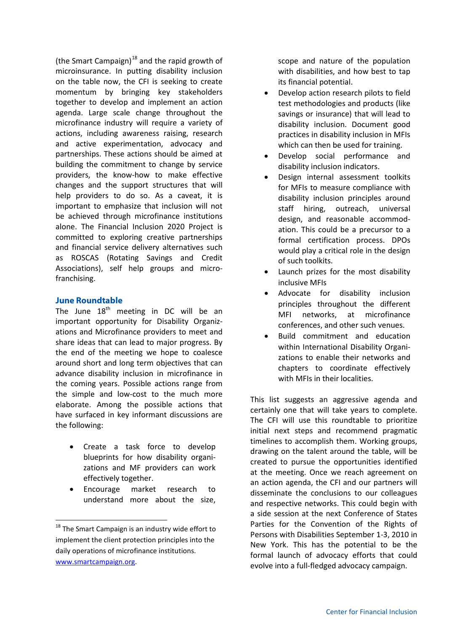(the Smart Campaign)<sup>[18](#page-6-0)</sup> and the rapid growth of microinsurance. In putting disability inclusion on the table now, the CFI is seeking to create momentum by bringing key stakeholders together to develop and implement an action agenda. Large scale change throughout the microfinance industry will require a variety of actions, including awareness raising, research and active experimentation, advocacy and partnerships. These actions should be aimed at building the commitment to change by service providers, the know-how to make effective changes and the support structures that will help providers to do so. As a caveat, it is important to emphasize that inclusion will not be achieved through microfinance institutions alone. The Financial Inclusion 2020 Project is committed to exploring creative partnerships and financial service delivery alternatives such as ROSCAS (Rotating Savings and Credit Associations), self help groups and microfranchising.

#### **June Roundtable**

The June  $18<sup>th</sup>$  meeting in DC will be an important opportunity for Disability Organizations and Microfinance providers to meet and share ideas that can lead to major progress. By the end of the meeting we hope to coalesce around short and long term objectives that can advance disability inclusion in microfinance in the coming years. Possible actions range from the simple and low-cost to the much more elaborate. Among the possible actions that have surfaced in key informant discussions are the following:

- Create a task force to develop blueprints for how disability organizations and MF providers can work effectively together.
- Encourage market research to understand more about the size,

scope and nature of the population with disabilities, and how best to tap its financial potential.

- Develop action research pilots to field test methodologies and products (like savings or insurance) that will lead to disability inclusion. Document good practices in disability inclusion in MFIs which can then be used for training.
- Develop social performance and disability inclusion indicators.
- Design internal assessment toolkits for MFIs to measure compliance with disability inclusion principles around staff hiring, outreach, universal design, and reasonable accommodation. This could be a precursor to a formal certification process. DPOs would play a critical role in the design of such toolkits.
- Launch prizes for the most disability inclusive MFIs
- Advocate for disability inclusion principles throughout the different MFI networks, at microfinance conferences, and other such venues.
- Build commitment and education within International Disability Organizations to enable their networks and chapters to coordinate effectively with MFIs in their localities.

This list suggests an aggressive agenda and certainly one that will take years to complete. The CFI will use this roundtable to prioritize initial next steps and recommend pragmatic timelines to accomplish them. Working groups, drawing on the talent around the table, will be created to pursue the opportunities identified at the meeting. Once we reach agreement on an action agenda, the CFI and our partners will disseminate the conclusions to our colleagues and respective networks. This could begin with a side session at the next Conference of States Parties for the Convention of the Rights of Persons with Disabilities September 1-3, 2010 in New York. This has the potential to be the formal launch of advocacy efforts that could evolve into a full-fledged advocacy campaign.

<span id="page-6-0"></span><sup>&</sup>lt;sup>18</sup> The Smart Campaign is an industry wide effort to implement the client protection principles into the daily operations of microfinance institutions. [www.smartcampaign.org.](http://www.smartcampaign.org/)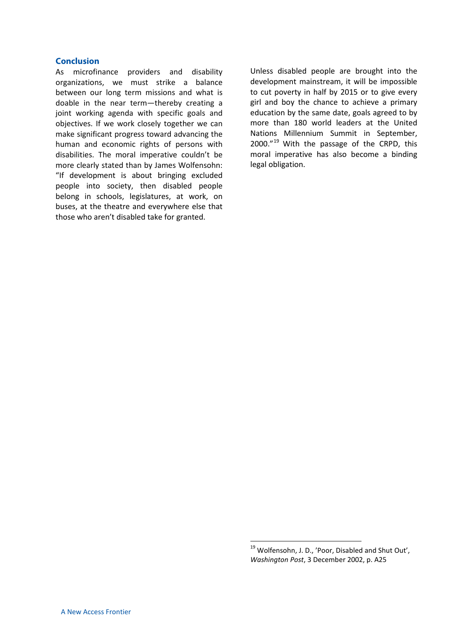#### **Conclusion**

As microfinance providers and disability organizations, we must strike a balance between our long term missions and what is doable in the near term—thereby creating a joint working agenda with specific goals and objectives. If we work closely together we can make significant progress toward advancing the human and economic rights of persons with disabilities. The moral imperative couldn't be more clearly stated than by James Wolfensohn: "If development is about bringing excluded people into society, then disabled people belong in schools, legislatures, at work, on buses, at the theatre and everywhere else that those who aren't disabled take for granted.

Unless disabled people are brought into the development mainstream, it will be impossible to cut poverty in half by 2015 or to give every girl and boy the chance to achieve a primary education by the same date, goals agreed to by more than 180 world leaders at the United Nations Millennium Summit in September, 2000."<sup>[19](#page-7-0)</sup> With the passage of the CRPD, this moral imperative has also become a binding legal obligation.

<span id="page-7-0"></span><sup>&</sup>lt;sup>19</sup> Wolfensohn, J. D., 'Poor, Disabled and Shut Out', *Washington Post*, 3 December 2002, p. A25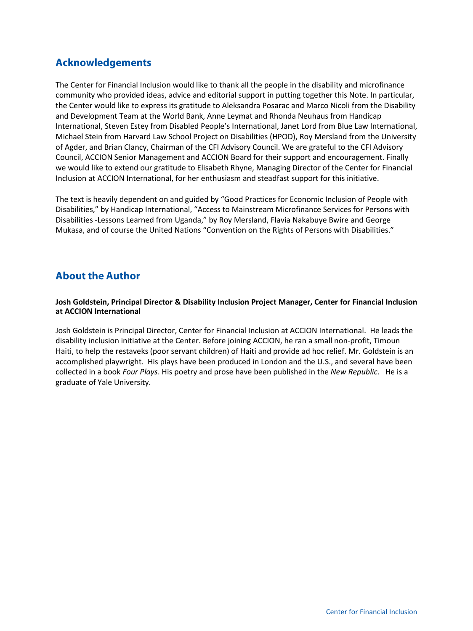# **Acknowledgements**

The Center for Financial Inclusion would like to thank all the people in the disability and microfinance community who provided ideas, advice and editorial support in putting together this Note. In particular, the Center would like to express its gratitude to Aleksandra Posarac and Marco Nicoli from the Disability and Development Team at the World Bank, Anne Leymat and Rhonda Neuhaus from Handicap International, Steven Estey from Disabled People's International, Janet Lord from Blue Law International, Michael Stein from Harvard Law School Project on Disabilities (HPOD), Roy Mersland from the University of Agder, and Brian Clancy, Chairman of the CFI Advisory Council. We are grateful to the CFI Advisory Council, ACCION Senior Management and ACCION Board for their support and encouragement. Finally we would like to extend our gratitude to Elisabeth Rhyne, Managing Director of the Center for Financial Inclusion at ACCION International, for her enthusiasm and steadfast support for this initiative.

The text is heavily dependent on and guided by "Good Practices for Economic Inclusion of People with Disabilities," by Handicap International, "Access to Mainstream Microfinance Services for Persons with Disabilities -Lessons Learned from Uganda," by Roy Mersland, Flavia Nakabuye Bwire and George Mukasa, and of course the United Nations "Convention on the Rights of Persons with Disabilities."

# **About the Author**

**Josh Goldstein, Principal Director & Disability Inclusion Project Manager, Center for Financial Inclusion at ACCION International**

Josh Goldstein is Principal Director, Center for Financial Inclusion at ACCION International. He leads the disability inclusion initiative at the Center. Before joining ACCION, he ran a small non-profit, Timoun Haiti, to help the restaveks (poor servant children) of Haiti and provide ad hoc relief. Mr. Goldstein is an accomplished playwright. His plays have been produced in London and the U.S., and several have been collected in a book *Four Plays*. His poetry and prose have been published in the *New Republic*. He is a graduate of Yale University.